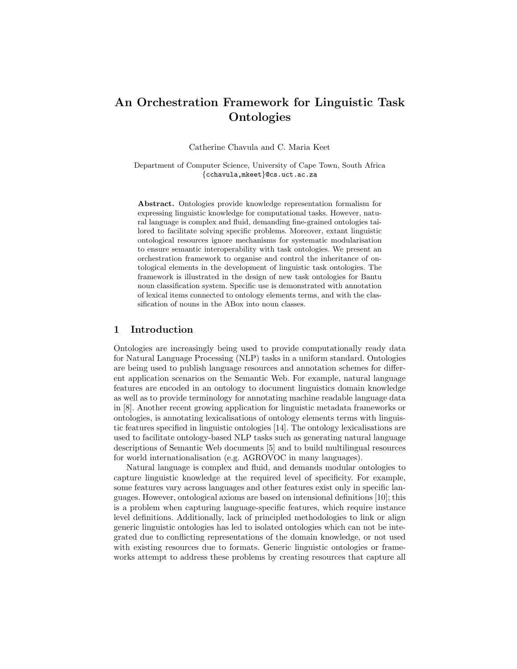# An Orchestration Framework for Linguistic Task **Ontologies**

Catherine Chavula and C. Maria Keet

Department of Computer Science, University of Cape Town, South Africa {cchavula,mkeet}@cs.uct.ac.za

Abstract. Ontologies provide knowledge representation formalism for expressing linguistic knowledge for computational tasks. However, natural language is complex and fluid, demanding fine-grained ontologies tailored to facilitate solving specific problems. Moreover, extant linguistic ontological resources ignore mechanisms for systematic modularisation to ensure semantic interoperability with task ontologies. We present an orchestration framework to organise and control the inheritance of ontological elements in the development of linguistic task ontologies. The framework is illustrated in the design of new task ontologies for Bantu noun classification system. Specific use is demonstrated with annotation of lexical items connected to ontology elements terms, and with the classification of nouns in the ABox into noun classes.

## 1 Introduction

Ontologies are increasingly being used to provide computationally ready data for Natural Language Processing (NLP) tasks in a uniform standard. Ontologies are being used to publish language resources and annotation schemes for different application scenarios on the Semantic Web. For example, natural language features are encoded in an ontology to document linguistics domain knowledge as well as to provide terminology for annotating machine readable language data in [8]. Another recent growing application for linguistic metadata frameworks or ontologies, is annotating lexicalisations of ontology elements terms with linguistic features specified in linguistic ontologies [14]. The ontology lexicalisations are used to facilitate ontology-based NLP tasks such as generating natural language descriptions of Semantic Web documents [5] and to build multilingual resources for world internationalisation (e.g. AGROVOC in many languages).

Natural language is complex and fluid, and demands modular ontologies to capture linguistic knowledge at the required level of specificity. For example, some features vary across languages and other features exist only in specific languages. However, ontological axioms are based on intensional definitions [10]; this is a problem when capturing language-specific features, which require instance level definitions. Additionally, lack of principled methodologies to link or align generic linguistic ontologies has led to isolated ontologies which can not be integrated due to conflicting representations of the domain knowledge, or not used with existing resources due to formats. Generic linguistic ontologies or frameworks attempt to address these problems by creating resources that capture all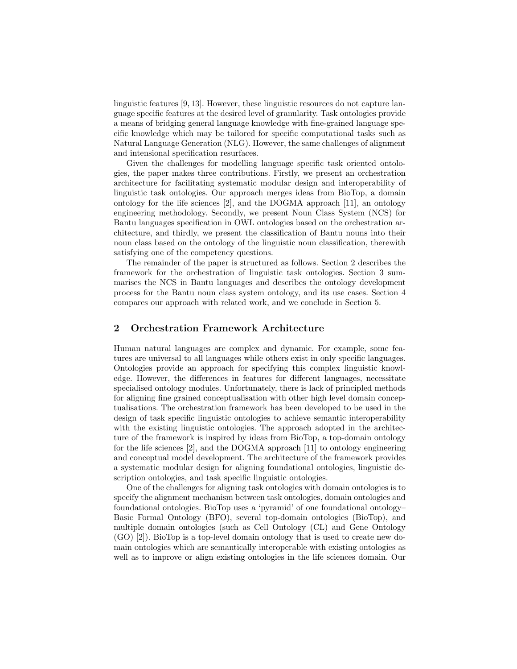linguistic features [9, 13]. However, these linguistic resources do not capture language specific features at the desired level of granularity. Task ontologies provide a means of bridging general language knowledge with fine-grained language specific knowledge which may be tailored for specific computational tasks such as Natural Language Generation (NLG). However, the same challenges of alignment and intensional specification resurfaces.

Given the challenges for modelling language specific task oriented ontologies, the paper makes three contributions. Firstly, we present an orchestration architecture for facilitating systematic modular design and interoperability of linguistic task ontologies. Our approach merges ideas from BioTop, a domain ontology for the life sciences [2], and the DOGMA approach [11], an ontology engineering methodology. Secondly, we present Noun Class System (NCS) for Bantu languages specification in OWL ontologies based on the orchestration architecture, and thirdly, we present the classification of Bantu nouns into their noun class based on the ontology of the linguistic noun classification, therewith satisfying one of the competency questions.

The remainder of the paper is structured as follows. Section 2 describes the framework for the orchestration of linguistic task ontologies. Section 3 summarises the NCS in Bantu languages and describes the ontology development process for the Bantu noun class system ontology, and its use cases. Section 4 compares our approach with related work, and we conclude in Section 5.

## 2 Orchestration Framework Architecture

Human natural languages are complex and dynamic. For example, some features are universal to all languages while others exist in only specific languages. Ontologies provide an approach for specifying this complex linguistic knowledge. However, the differences in features for different languages, necessitate specialised ontology modules. Unfortunately, there is lack of principled methods for aligning fine grained conceptualisation with other high level domain conceptualisations. The orchestration framework has been developed to be used in the design of task specific linguistic ontologies to achieve semantic interoperability with the existing linguistic ontologies. The approach adopted in the architecture of the framework is inspired by ideas from BioTop, a top-domain ontology for the life sciences [2], and the DOGMA approach [11] to ontology engineering and conceptual model development. The architecture of the framework provides a systematic modular design for aligning foundational ontologies, linguistic description ontologies, and task specific linguistic ontologies.

One of the challenges for aligning task ontologies with domain ontologies is to specify the alignment mechanism between task ontologies, domain ontologies and foundational ontologies. BioTop uses a 'pyramid' of one foundational ontology– Basic Formal Ontology (BFO), several top-domain ontologies (BioTop), and multiple domain ontologies (such as Cell Ontology (CL) and Gene Ontology (GO) [2]). BioTop is a top-level domain ontology that is used to create new domain ontologies which are semantically interoperable with existing ontologies as well as to improve or align existing ontologies in the life sciences domain. Our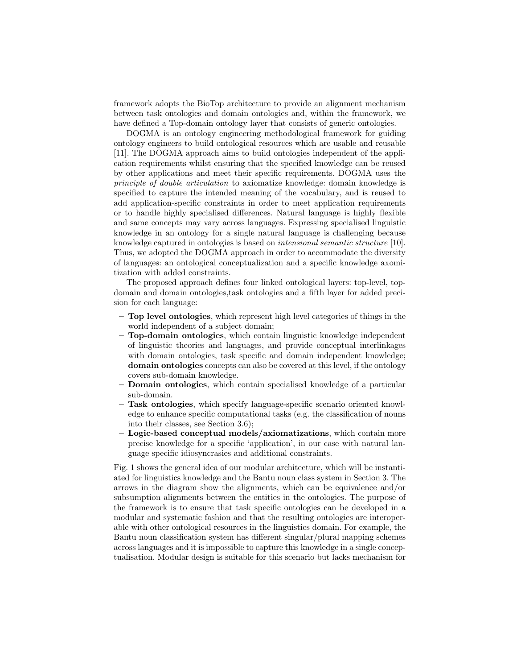framework adopts the BioTop architecture to provide an alignment mechanism between task ontologies and domain ontologies and, within the framework, we have defined a Top-domain ontology layer that consists of generic ontologies.

DOGMA is an ontology engineering methodological framework for guiding ontology engineers to build ontological resources which are usable and reusable [11]. The DOGMA approach aims to build ontologies independent of the application requirements whilst ensuring that the specified knowledge can be reused by other applications and meet their specific requirements. DOGMA uses the principle of double articulation to axiomatize knowledge: domain knowledge is specified to capture the intended meaning of the vocabulary, and is reused to add application-specific constraints in order to meet application requirements or to handle highly specialised differences. Natural language is highly flexible and same concepts may vary across languages. Expressing specialised linguistic knowledge in an ontology for a single natural language is challenging because knowledge captured in ontologies is based on intensional semantic structure [10]. Thus, we adopted the DOGMA approach in order to accommodate the diversity of languages: an ontological conceptualization and a specific knowledge axomitization with added constraints.

The proposed approach defines four linked ontological layers: top-level, topdomain and domain ontologies,task ontologies and a fifth layer for added precision for each language:

- Top level ontologies, which represent high level categories of things in the world independent of a subject domain;
- Top-domain ontologies, which contain linguistic knowledge independent of linguistic theories and languages, and provide conceptual interlinkages with domain ontologies, task specific and domain independent knowledge; domain ontologies concepts can also be covered at this level, if the ontology covers sub-domain knowledge.
- Domain ontologies, which contain specialised knowledge of a particular sub-domain.
- Task ontologies, which specify language-specific scenario oriented knowledge to enhance specific computational tasks (e.g. the classification of nouns into their classes, see Section 3.6);
- Logic-based conceptual models/axiomatizations, which contain more precise knowledge for a specific 'application', in our case with natural language specific idiosyncrasies and additional constraints.

Fig. 1 shows the general idea of our modular architecture, which will be instantiated for linguistics knowledge and the Bantu noun class system in Section 3. The arrows in the diagram show the alignments, which can be equivalence and/or subsumption alignments between the entities in the ontologies. The purpose of the framework is to ensure that task specific ontologies can be developed in a modular and systematic fashion and that the resulting ontologies are interoperable with other ontological resources in the linguistics domain. For example, the Bantu noun classification system has different singular/plural mapping schemes across languages and it is impossible to capture this knowledge in a single conceptualisation. Modular design is suitable for this scenario but lacks mechanism for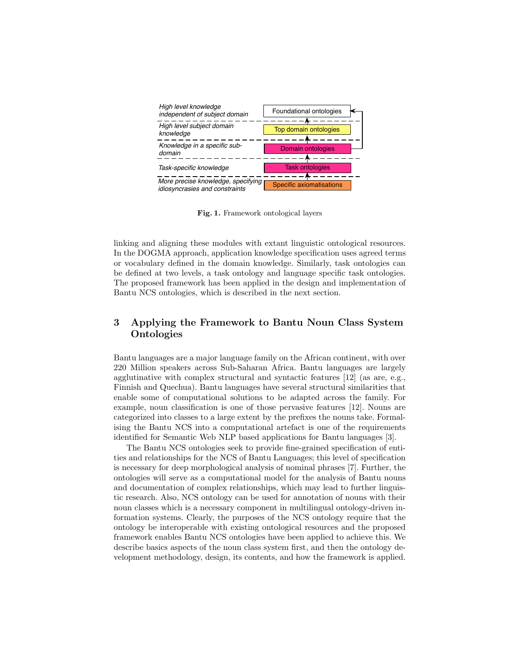

Fig. 1. Framework ontological layers

linking and aligning these modules with extant linguistic ontological resources. In the DOGMA approach, application knowledge specification uses agreed terms or vocabulary defined in the domain knowledge. Similarly, task ontologies can be defined at two levels, a task ontology and language specific task ontologies. The proposed framework has been applied in the design and implementation of Bantu NCS ontologies, which is described in the next section.

## 3 Applying the Framework to Bantu Noun Class System **Ontologies**

Bantu languages are a major language family on the African continent, with over 220 Million speakers across Sub-Saharan Africa. Bantu languages are largely agglutinative with complex structural and syntactic features [12] (as are, e.g., Finnish and Quechua). Bantu languages have several structural similarities that enable some of computational solutions to be adapted across the family. For example, noun classification is one of those pervasive features [12]. Nouns are categorized into classes to a large extent by the prefixes the nouns take. Formalising the Bantu NCS into a computational artefact is one of the requirements identified for Semantic Web NLP based applications for Bantu languages [3].

The Bantu NCS ontologies seek to provide fine-grained specification of entities and relationships for the NCS of Bantu Languages; this level of specification is necessary for deep morphological analysis of nominal phrases [7]. Further, the ontologies will serve as a computational model for the analysis of Bantu nouns and documentation of complex relationships, which may lead to further linguistic research. Also, NCS ontology can be used for annotation of nouns with their noun classes which is a necessary component in multilingual ontology-driven information systems. Clearly, the purposes of the NCS ontology require that the ontology be interoperable with existing ontological resources and the proposed framework enables Bantu NCS ontologies have been applied to achieve this. We describe basics aspects of the noun class system first, and then the ontology development methodology, design, its contents, and how the framework is applied.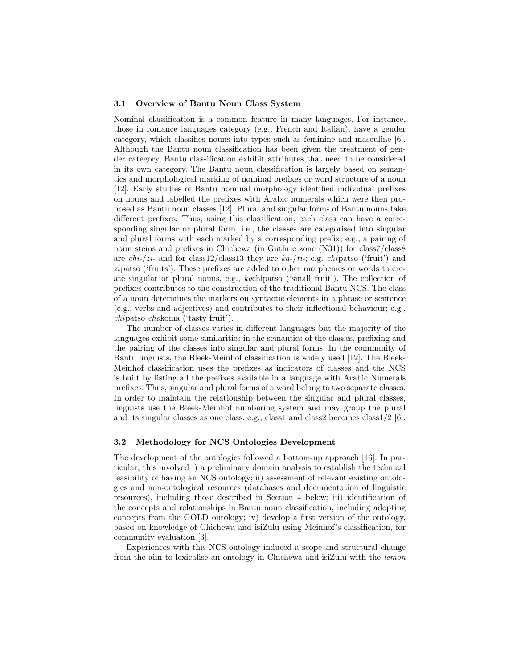#### 3.1 Overview of Bantu Noun Class System

Nominal classification is a common feature in many languages. For instance, those in romance languages category (e.g., French and Italian), have a gender category, which classifies nouns into types such as feminine and masculine [6]. Although the Bantu noun classification has been given the treatment of gender category, Bantu classification exhibit attributes that need to be considered in its own category. The Bantu noun classification is largely based on semantics and morphological marking of nominal prefixes or word structure of a noun [12]. Early studies of Bantu nominal morphology identified individual prefixes on nouns and labelled the prefixes with Arabic numerals which were then proposed as Bantu noun classes [12]. Plural and singular forms of Bantu nouns take different prefixes. Thus, using this classification, each class can have a corresponding singular or plural form, i.e., the classes are categorised into singular and plural forms with each marked by a corresponding prefix; e.g., a pairing of noun stems and prefixes in Chichewa (in Guthrie zone (N31)) for class7/class8 are  $chi$ -/zi- and for class12/class13 they are  $ka$ -/ti-; e.g. chipatso ('fruit') and zipatso ('fruits'). These prefixes are added to other morphemes or words to create singular or plural nouns, e.g., kachipatso ('small fruit'). The collection of prefixes contributes to the construction of the traditional Bantu NCS. The class of a noun determines the markers on syntactic elements in a phrase or sentence (e.g., verbs and adjectives) and contributes to their inflectional behaviour; e.g., chipatso chokoma ('tasty fruit').

The number of classes varies in different languages but the majority of the languages exhibit some similarities in the semantics of the classes, prefixing and the pairing of the classes into singular and plural forms. In the community of Bantu linguists, the Bleek-Meinhof classification is widely used [12]. The Bleek-Meinhof classification uses the prefixes as indicators of classes and the NCS is built by listing all the prefixes available in a language with Arabic Numerals prefixes. Thus, singular and plural forms of a word belong to two separate classes. In order to maintain the relationship between the singular and plural classes, linguists use the Bleek-Meinhof numbering system and may group the plural and its singular classes as one class, e.g., class1 and class2 becomes class1/2 [6].

#### 3.2 Methodology for NCS Ontologies Development

The development of the ontologies followed a bottom-up approach [16]. In particular, this involved i) a preliminary domain analysis to establish the technical feasibility of having an NCS ontology; ii) assessment of relevant existing ontologies and non-ontological resources (databases and documentation of linguistic resources), including those described in Section 4 below; iii) identification of the concepts and relationships in Bantu noun classification, including adopting concepts from the GOLD ontology; iv) develop a first version of the ontology, based on knowledge of Chichewa and isiZulu using Meinhof's classification, for community evaluation [3].

Experiences with this NCS ontology induced a scope and structural change from the aim to lexicalise an ontology in Chichewa and isiZulu with the lemon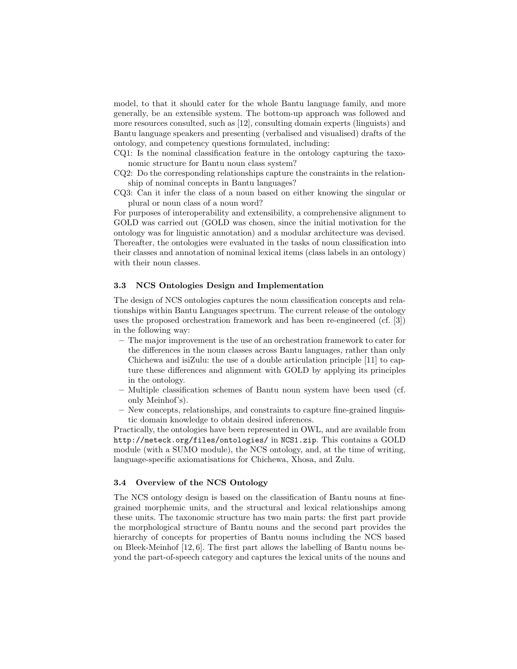model, to that it should cater for the whole Bantu language family, and more generally, be an extensible system. The bottom-up approach was followed and more resources consulted, such as [12], consulting domain experts (linguists) and Bantu language speakers and presenting (verbalised and visualised) drafts of the ontology, and competency questions formulated, including:

CQ1: Is the nominal classification feature in the ontology capturing the taxonomic structure for Bantu noun class system?

CQ2: Do the corresponding relationships capture the constraints in the relationship of nominal concepts in Bantu languages?

CQ3: Can it infer the class of a noun based on either knowing the singular or plural or noun class of a noun word?

For purposes of interoperability and extensibility, a comprehensive alignment to GOLD was carried out (GOLD was chosen, since the initial motivation for the ontology was for linguistic annotation) and a modular architecture was devised. Thereafter, the ontologies were evaluated in the tasks of noun classification into their classes and annotation of nominal lexical items (class labels in an ontology) with their noun classes.

#### 3.3 NCS Ontologies Design and Implementation

The design of NCS ontologies captures the noun classification concepts and relationships within Bantu Languages spectrum. The current release of the ontology uses the proposed orchestration framework and has been re-engineered (cf. [3]) in the following way:

- The major improvement is the use of an orchestration framework to cater for the differences in the noun classes across Bantu languages, rather than only Chichewa and isiZulu: the use of a double articulation principle [11] to capture these differences and alignment with GOLD by applying its principles in the ontology.
- Multiple classification schemes of Bantu noun system have been used (cf. only Meinhof's).
- New concepts, relationships, and constraints to capture fine-grained linguistic domain knowledge to obtain desired inferences.

Practically, the ontologies have been represented in OWL, and are available from http://meteck.org/files/ontologies/ in NCS1.zip. This contains a GOLD module (with a SUMO module), the NCS ontology, and, at the time of writing, language-specific axiomatisations for Chichewa, Xhosa, and Zulu.

#### 3.4 Overview of the NCS Ontology

The NCS ontology design is based on the classification of Bantu nouns at finegrained morphemic units, and the structural and lexical relationships among these units. The taxonomic structure has two main parts: the first part provide the morphological structure of Bantu nouns and the second part provides the hierarchy of concepts for properties of Bantu nouns including the NCS based on Bleek-Meinhof [12, 6]. The first part allows the labelling of Bantu nouns beyond the part-of-speech category and captures the lexical units of the nouns and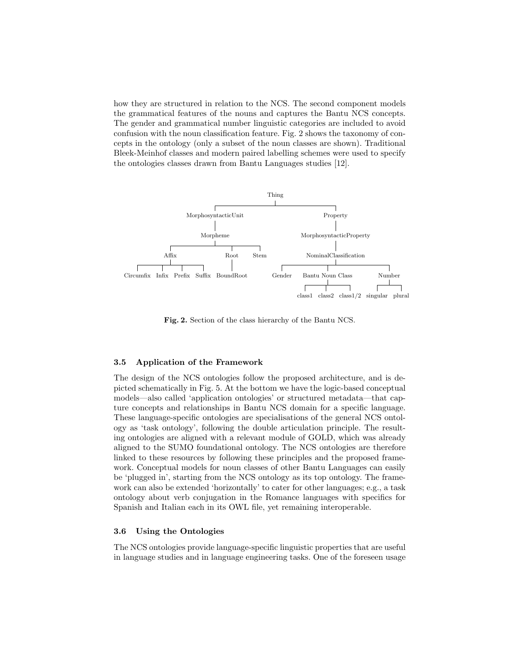how they are structured in relation to the NCS. The second component models the grammatical features of the nouns and captures the Bantu NCS concepts. The gender and grammatical number linguistic categories are included to avoid confusion with the noun classification feature. Fig. 2 shows the taxonomy of concepts in the ontology (only a subset of the noun classes are shown). Traditional Bleek-Meinhof classes and modern paired labelling schemes were used to specify the ontologies classes drawn from Bantu Languages studies [12].



Fig. 2. Section of the class hierarchy of the Bantu NCS.

#### 3.5 Application of the Framework

The design of the NCS ontologies follow the proposed architecture, and is depicted schematically in Fig. 5. At the bottom we have the logic-based conceptual models—also called 'application ontologies' or structured metadata—that capture concepts and relationships in Bantu NCS domain for a specific language. These language-specific ontologies are specialisations of the general NCS ontology as 'task ontology', following the double articulation principle. The resulting ontologies are aligned with a relevant module of GOLD, which was already aligned to the SUMO foundational ontology. The NCS ontologies are therefore linked to these resources by following these principles and the proposed framework. Conceptual models for noun classes of other Bantu Languages can easily be 'plugged in', starting from the NCS ontology as its top ontology. The framework can also be extended 'horizontally' to cater for other languages; e.g., a task ontology about verb conjugation in the Romance languages with specifics for Spanish and Italian each in its OWL file, yet remaining interoperable.

#### 3.6 Using the Ontologies

The NCS ontologies provide language-specific linguistic properties that are useful in language studies and in language engineering tasks. One of the foreseen usage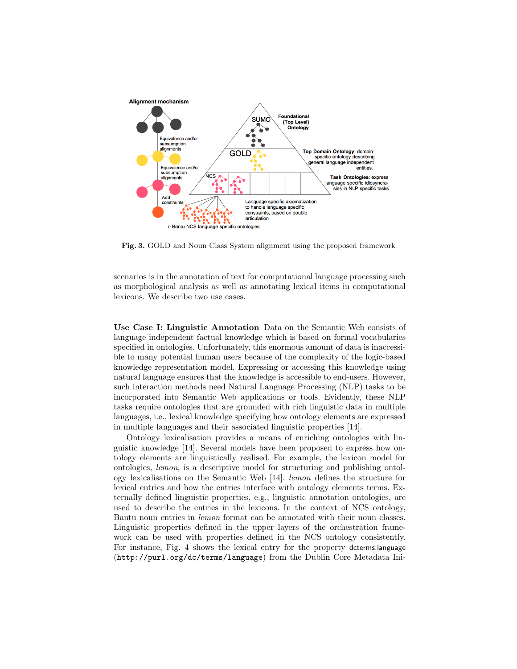

Fig. 3. GOLD and Noun Class System alignment using the proposed framework

scenarios is in the annotation of text for computational language processing such as morphological analysis as well as annotating lexical items in computational lexicons. We describe two use cases.

Use Case I: Linguistic Annotation Data on the Semantic Web consists of language independent factual knowledge which is based on formal vocabularies specified in ontologies. Unfortunately, this enormous amount of data is inaccessible to many potential human users because of the complexity of the logic-based knowledge representation model. Expressing or accessing this knowledge using natural language ensures that the knowledge is accessible to end-users. However, such interaction methods need Natural Language Processing (NLP) tasks to be incorporated into Semantic Web applications or tools. Evidently, these NLP tasks require ontologies that are grounded with rich linguistic data in multiple languages, i.e., lexical knowledge specifying how ontology elements are expressed in multiple languages and their associated linguistic properties [14].

Ontology lexicalisation provides a means of enriching ontologies with linguistic knowledge [14]. Several models have been proposed to express how ontology elements are linguistically realised. For example, the lexicon model for ontologies, lemon, is a descriptive model for structuring and publishing ontology lexicalisations on the Semantic Web [14]. lemon defines the structure for lexical entries and how the entries interface with ontology elements terms. Externally defined linguistic properties, e.g., linguistic annotation ontologies, are used to describe the entries in the lexicons. In the context of NCS ontology, Bantu noun entries in lemon format can be annotated with their noun classes. Linguistic properties defined in the upper layers of the orchestration framework can be used with properties defined in the NCS ontology consistently. For instance, Fig. 4 shows the lexical entry for the property dcterms:language (http://purl.org/dc/terms/language) from the Dublin Core Metadata Ini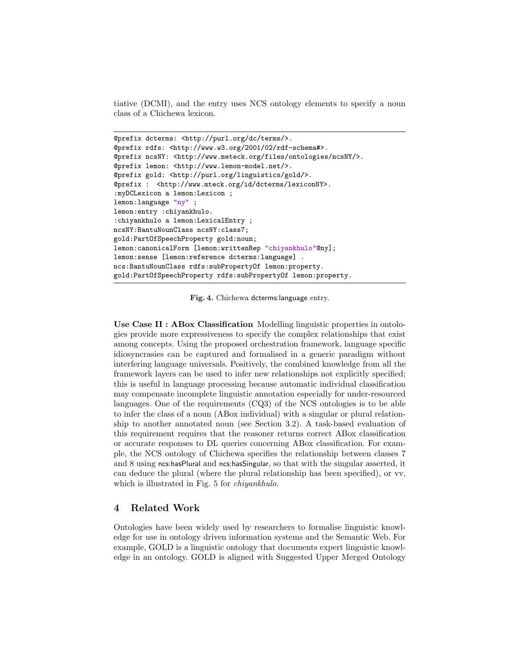tiative (DCMI), and the entry uses NCS ontology elements to specify a noun class of a Chichewa lexicon.

```
@prefix dcterms: <http://purl.org/dc/terms/>.
@prefix rdfs: <http://www.w3.org/2001/02/rdf-schema#>.
@prefix ncsNY: <http://www.meteck.org/files/ontologies/ncsNY/>.
@prefix lemon: <http://www.lemon-model.net/>.
@prefix gold: <http://purl.org/linguistics/gold/>.
@prefix : <http://www.mteck.org/id/dcterms/lexiconNY>.
:myDCLexicon a lemon:Lexicon ;
lemon:language "ny" ;
lemon:entry :chiyankhulo.
:chiyankhulo a lemon:LexicalEntry ;
ncsNY:BantuNounClass ncsNY:class7;
gold:PartOfSpeechProperty gold:noun;
lemon:canonicalForm [lemon:writtenRep "chiyankhulo"@ny];
lemon:sense [lemon:reference dcterms:language] .
ncs:BantuNounClass rdfs:subPropertyOf lemon:property.
gold:PartOfSpeechProperty rdfs:subPropertyOf lemon:property.
```
Fig. 4. Chichewa dcterms:language entry.

Use Case II : ABox Classification Modelling linguistic properties in ontologies provide more expressiveness to specify the complex relationships that exist among concepts. Using the proposed orchestration framework, language specific idiosyncrasies can be captured and formalised in a generic paradigm without interfering language universals. Positively, the combined knowledge from all the framework layers can be used to infer new relationships not explicitly specified; this is useful in language processing because automatic individual classification may compensate incomplete linguistic annotation especially for under-resourced languages. One of the requirements (CQ3) of the NCS ontologies is to be able to infer the class of a noun (ABox individual) with a singular or plural relationship to another annotated noun (see Section 3.2). A task-based evaluation of this requirement requires that the reasoner returns correct ABox classification or accurate responses to DL queries concerning ABox classification. For example, the NCS ontology of Chichewa specifies the relationship between classes 7 and 8 using ncs:hasPlural and ncs:hasSingular, so that with the singular asserted, it can deduce the plural (where the plural relationship has been specified), or vv, which is illustrated in Fig. 5 for chiyankhulo.

## 4 Related Work

Ontologies have been widely used by researchers to formalise linguistic knowledge for use in ontology driven information systems and the Semantic Web. For example, GOLD is a linguistic ontology that documents expert linguistic knowledge in an ontology. GOLD is aligned with Suggested Upper Merged Ontology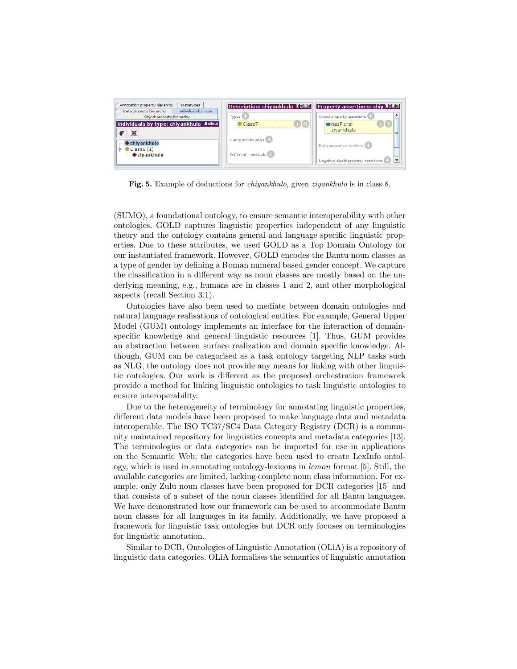

Fig. 5. Example of deductions for chiyankhulo, given ziyankhulo is in class 8.

(SUMO), a foundational ontology, to ensure semantic interoperability with other ontologies. GOLD captures linguistic properties independent of any linguistic theory and the ontology contains general and language specific linguistic properties. Due to these attributes, we used GOLD as a Top Domain Ontology for our instantiated framework. However, GOLD encodes the Bantu noun classes as a type of gender by defining a Roman numeral based gender concept. We capture the classification in a different way as noun classes are mostly based on the underlying meaning, e.g., humans are in classes 1 and 2, and other morphological aspects (recall Section 3.1).

Ontologies have also been used to mediate between domain ontologies and natural language realisations of ontological entities. For example, General Upper Model (GUM) ontology implements an interface for the interaction of domainspecific knowledge and general linguistic resources [1]. Thus, GUM provides an abstraction between surface realization and domain specific knowledge. Although, GUM can be categorised as a task ontology targeting NLP tasks such as NLG, the ontology does not provide any means for linking with other linguistic ontologies. Our work is different as the proposed orchestration framework provide a method for linking linguistic ontologies to task linguistic ontologies to ensure interoperability.

Due to the heterogeneity of terminology for annotating linguistic properties, different data models have been proposed to make language data and metadata interoperable. The ISO TC37/SC4 Data Category Registry (DCR) is a community maintained repository for linguistics concepts and metadata categories [13]. The terminologies or data categories can be imported for use in applications on the Semantic Web; the categories have been used to create LexInfo ontology, which is used in annotating ontology-lexicons in lemon format [5]. Still, the available categories are limited, lacking complete noun class information. For example, only Zulu noun classes have been proposed for DCR categories [15] and that consists of a subset of the noun classes identified for all Bantu languages. We have demonstrated how our framework can be used to accommodate Bantu noun classes for all languages in its family. Additionally, we have proposed a framework for linguistic task ontologies but DCR only focuses on terminologies for linguistic annotation.

Similar to DCR, Ontologies of Linguistic Annotation (OLiA) is a repository of linguistic data categories. OLiA formalises the semantics of linguistic annotation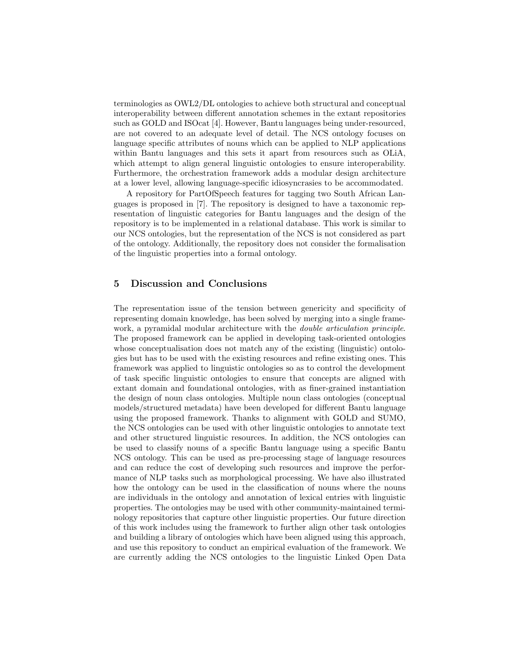terminologies as OWL2/DL ontologies to achieve both structural and conceptual interoperability between different annotation schemes in the extant repositories such as GOLD and ISOcat [4]. However, Bantu languages being under-resourced, are not covered to an adequate level of detail. The NCS ontology focuses on language specific attributes of nouns which can be applied to NLP applications within Bantu languages and this sets it apart from resources such as OLiA, which attempt to align general linguistic ontologies to ensure interoperability. Furthermore, the orchestration framework adds a modular design architecture at a lower level, allowing language-specific idiosyncrasies to be accommodated.

A repository for PartOfSpeech features for tagging two South African Languages is proposed in [7]. The repository is designed to have a taxonomic representation of linguistic categories for Bantu languages and the design of the repository is to be implemented in a relational database. This work is similar to our NCS ontologies, but the representation of the NCS is not considered as part of the ontology. Additionally, the repository does not consider the formalisation of the linguistic properties into a formal ontology.

## 5 Discussion and Conclusions

The representation issue of the tension between genericity and specificity of representing domain knowledge, has been solved by merging into a single framework, a pyramidal modular architecture with the double articulation principle. The proposed framework can be applied in developing task-oriented ontologies whose conceptualisation does not match any of the existing (linguistic) ontologies but has to be used with the existing resources and refine existing ones. This framework was applied to linguistic ontologies so as to control the development of task specific linguistic ontologies to ensure that concepts are aligned with extant domain and foundational ontologies, with as finer-grained instantiation the design of noun class ontologies. Multiple noun class ontologies (conceptual models/structured metadata) have been developed for different Bantu language using the proposed framework. Thanks to alignment with GOLD and SUMO, the NCS ontologies can be used with other linguistic ontologies to annotate text and other structured linguistic resources. In addition, the NCS ontologies can be used to classify nouns of a specific Bantu language using a specific Bantu NCS ontology. This can be used as pre-processing stage of language resources and can reduce the cost of developing such resources and improve the performance of NLP tasks such as morphological processing. We have also illustrated how the ontology can be used in the classification of nouns where the nouns are individuals in the ontology and annotation of lexical entries with linguistic properties. The ontologies may be used with other community-maintained terminology repositories that capture other linguistic properties. Our future direction of this work includes using the framework to further align other task ontologies and building a library of ontologies which have been aligned using this approach, and use this repository to conduct an empirical evaluation of the framework. We are currently adding the NCS ontologies to the linguistic Linked Open Data